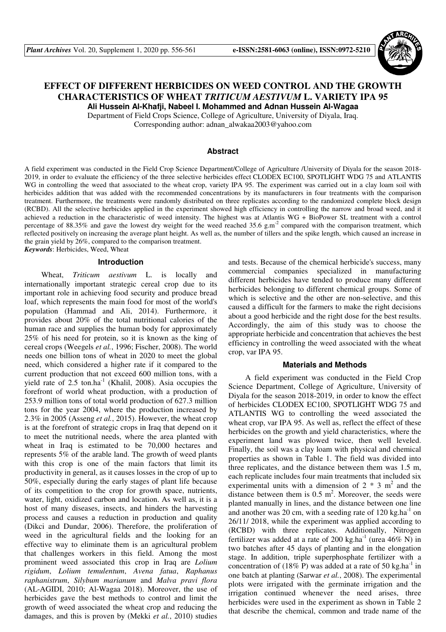

# **EFFECT OF DIFFERENT HERBICIDES ON WEED CONTROL AND THE GROWTH CHARACTERISTICS OF WHEAT** *TRITICUM AESTIVUM* **L. VARIETY IPA 95 Ali Hussein Al-Khafji, Nabeel I. Mohammed and Adnan Hussein Al-Wagaa**

Department of Field Crops Science, College of Agriculture, University of Diyala, Iraq.

Corresponding author: adnan\_alwakaa2003@yahoo.com

### **Abstract**

A field experiment was conducted in the Field Crop Science Department/College of Agriculture /University of Diyala for the season 2018- 2019, in order to evaluate the efficiency of the three selective herbicides effect CLODEX EC100, SPOTLIGHT WDG 75 and ATLANTIS WG in controlling the weed that associated to the wheat crop, variety IPA 95. The experiment was carried out in a clay loam soil with herbicides addition that was added with the recommended concentrations by its manufacturers in four treatments with the comparison treatment. Furthermore, the treatments were randomly distributed on three replicates according to the randomized complete block design (RCBD). All the selective herbicides applied in the experiment showed high efficiency in controlling the narrow and broad weed, and it achieved a reduction in the characteristic of weed intensity. The highest was at Atlantis WG + BioPower SL treatment with a control percentage of 88.35% and gave the lowest dry weight for the weed reached 35.6 g.m<sup>-2</sup> compared with the comparison treatment, which reflected positively on increasing the average plant height. As well as, the number of tillers and the spike length, which caused an increase in the grain yield by 26%, compared to the comparison treatment. *Keywords*: Herbicides, Weed, Wheat

#### **Introduction**

Wheat, *Triticum aestivum* L. is locally and internationally important strategic cereal crop due to its important role in achieving food security and produce bread loaf, which represents the main food for most of the world's population (Hammad and Ali, 2014). Furthermore, it provides about 20% of the total nutritional calories of the human race and supplies the human body for approximately 25% of his need for protein, so it is known as the king of cereal crops (Weegels *et al.*, 1996; Fischer, 2008). The world needs one billion tons of wheat in 2020 to meet the global need, which considered a higher rate if it compared to the current production that not exceed 600 million tons, with a yield rate of 2.5 ton.ha<sup>-1</sup> (Khalil, 2008). Asia occupies the forefront of world wheat production, with a production of 253.9 million tons of total world production of 627.3 million tons for the year 2004, where the production increased by 2.3% in 2005 (Asseng *et al.*, 2015). However, the wheat crop is at the forefront of strategic crops in Iraq that depend on it to meet the nutritional needs, where the area planted with wheat in Iraq is estimated to be 70,000 hectares and represents 5% of the arable land. The growth of weed plants with this crop is one of the main factors that limit its productivity in general, as it causes losses in the crop of up to 50%, especially during the early stages of plant life because of its competition to the crop for growth space, nutrients, water, light, oxidized carbon and location. As well as, it is a host of many diseases, insects, and hinders the harvesting process and causes a reduction in production and quality (Dikci and Dundar, 2006). Therefore, the proliferation of weed in the agricultural fields and the looking for an effective way to eliminate them is an agricultural problem that challenges workers in this field. Among the most prominent weed associated this crop in Iraq are *Lolium rigidum*, *Lolium temulentum*, *Avena fatua*, *Raphanus raphanistrum*, *Silybum marianum* and *Malva pravi flora* (AL-AGIDI, 2010; Al-Wagaa 2018). Moreover, the use of herbicides gave the best methods to control and limit the growth of weed associated the wheat crop and reducing the damages, and this is proven by (Mekki *et al.*, 2010) studies

and tests. Because of the chemical herbicide's success, many commercial companies specialized in manufacturing different herbicides have tended to produce many different herbicides belonging to different chemical groups. Some of which is selective and the other are non-selective, and this caused a difficult for the farmers to make the right decisions about a good herbicide and the right dose for the best results. Accordingly, the aim of this study was to choose the appropriate herbicide and concentration that achieves the best efficiency in controlling the weed associated with the wheat crop, var IPA 95.

#### **Materials and Methods**

A field experiment was conducted in the Field Crop Science Department, College of Agriculture, University of Diyala for the season 2018-2019, in order to know the effect of herbicides CLODEX EC100, SPOTLIGHT WDG 75 and ATLANTIS WG to controlling the weed associated the wheat crop, var IPA 95. As well as, reflect the effect of these herbicides on the growth and yield characteristics, where the experiment land was plowed twice, then well leveled. Finally, the soil was a clay loam with physical and chemical properties as shown in Table 1. The field was divided into three replicates, and the distance between them was 1.5 m, each replicate includes four main treatments that included six experimental units with a dimension of  $2 * 3$  m<sup>2</sup> and the distance between them is  $0.5 \text{ m}^2$ . Moreover, the seeds were planted manually in lines, and the distance between one line and another was 20 cm, with a seeding rate of  $120 \text{ kg.ha}^{-1}$  on 26/11/ 2018, while the experiment was applied according to (RCBD) with three replicates. Additionally, Nitrogen fertilizer was added at a rate of 200 kg.ha<sup>-1</sup> (urea 46% N) in two batches after 45 days of planting and in the elongation stage. In addition, triple superphosphate fertilizer with a concentration of (18% P) was added at a rate of 50 kg.ha<sup>-1</sup> in one batch at planting (Sarwar *et al.*, 2008). The experimental plots were irrigated with the germinate irrigation and the irrigation continued whenever the need arises, three herbicides were used in the experiment as shown in Table 2 that describe the chemical, common and trade name of the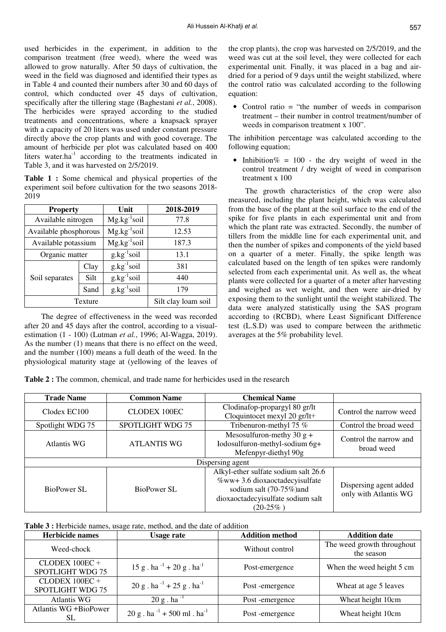used herbicides in the experiment, in addition to the comparison treatment (free weed), where the weed was allowed to grow naturally. After 50 days of cultivation, the weed in the field was diagnosed and identified their types as in Table 4 and counted their numbers after 30 and 60 days of control, which conducted over 45 days of cultivation, specifically after the tillering stage (Baghestani *et al.*, 2008). The herbicides were sprayed according to the studied treatments and concentrations, where a knapsack sprayer with a capacity of 20 liters was used under constant pressure directly above the crop plants and with good coverage. The amount of herbicide per plot was calculated based on 400 liters water.ha<sup>-1</sup> according to the treatments indicated in Table 3, and it was harvested on 2/5/2019.

**Table 1 :** Some chemical and physical properties of the experiment soil before cultivation for the two seasons 2018- 2019

| <b>Property</b>       |      | Unit             | 2018-2019           |
|-----------------------|------|------------------|---------------------|
| Available nitrogen    |      | $Mg.kg^{-1}soil$ | 77.8                |
| Available phosphorous |      | $Mg.kg^{-1}soil$ | 12.53               |
| Available potassium   |      | $Mg.kg^{-1}soil$ | 187.3               |
| Organic matter        |      | $g.kg^{-1}soil$  | 13.1                |
|                       | Clay | $g.kg^{-1}soil$  | 381                 |
| Soil separates        | Silt | $g.kg^{-1}soil$  | 440                 |
|                       | Sand | $g.kg^{-1}soil$  | 179                 |
| Texture               |      |                  | Silt clay loam soil |

The degree of effectiveness in the weed was recorded after 20 and 45 days after the control, according to a visualestimation (1 - 100) (Lutman *et al.*, 1996; Al-Wagga, 2019). As the number (1) means that there is no effect on the weed, and the number (100) means a full death of the weed. In the physiological maturity stage at (yellowing of the leaves of the crop plants), the crop was harvested on 2/5/2019, and the weed was cut at the soil level, they were collected for each experimental unit. Finally, it was placed in a bag and airdried for a period of 9 days until the weight stabilized, where the control ratio was calculated according to the following equation:

• Control ratio = "the number of weeds in comparison treatment – their number in control treatment/number of weeds in comparison treatment x 100".

The inhibition percentage was calculated according to the following equation;

Inhibition% =  $100$  - the dry weight of weed in the control treatment / dry weight of weed in comparison treatment x 100

The growth characteristics of the crop were also measured, including the plant height, which was calculated from the base of the plant at the soil surface to the end of the spike for five plants in each experimental unit and from which the plant rate was extracted. Secondly, the number of tillers from the middle line for each experimental unit, and then the number of spikes and components of the yield based on a quarter of a meter. Finally, the spike length was calculated based on the length of ten spikes were randomly selected from each experimental unit. As well as, the wheat plants were collected for a quarter of a meter after harvesting and weighed as wet weight, and then were air-dried by exposing them to the sunlight until the weight stabilized. The data were analyzed statistically using the SAS program according to (RCBD), where Least Significant Difference test (L.S.D) was used to compare between the arithmetic averages at the 5% probability level.

**Table 2 :** The common, chemical, and trade name for herbicides used in the research

| <b>Trade Name</b> | <b>Common Name</b>  | <b>Chemical Name</b>                                                                                                                                  |                                                 |
|-------------------|---------------------|-------------------------------------------------------------------------------------------------------------------------------------------------------|-------------------------------------------------|
| Clodex EC100      | <b>CLODEX 100EC</b> | Clodinafop-propargyl 80 gr/lt<br>Cloquintocet mexyl 20 gr/lt+                                                                                         | Control the narrow weed                         |
| Spotlight WDG 75  | SPOTLIGHT WDG 75    | Tribenuron-methyl 75 %                                                                                                                                | Control the broad weed                          |
| Atlantis WG       | <b>ATLANTIS WG</b>  | Mesosulfuron-methy 30 $g$ +<br>Iodosulfuron-methyl-sodium 6g+<br>Mefenpyr-diethyl 90g                                                                 | Control the narrow and<br>broad weed            |
|                   |                     | Dispersing agent                                                                                                                                      |                                                 |
| BioPower SL       | BioPower SL         | Alkyl-ether sulfate sodium salt 26.6<br>%ww+ 3.6 dioxaoctadecyisulfate<br>sodium salt (70-75%) and<br>dioxaoctadecyisulfate sodium salt<br>$(20-25%)$ | Dispersing agent added<br>only with Atlantis WG |

**Table 3 :** Herbicide names, usage rate, method, and the date of addition

| <b>Herbicide names</b>               | <b>Usage rate</b>                                     | <b>Addition method</b> | <b>Addition date</b>                     |
|--------------------------------------|-------------------------------------------------------|------------------------|------------------------------------------|
| Weed-chock                           |                                                       | Without control        | The weed growth throughout<br>the season |
| CLODEX 100EC+<br>SPOTLIGHT WDG 75    | 15 g . ha $^{-1}$ + 20 g . ha $^{-1}$                 | Post-emergence         | When the weed height 5 cm                |
| $CLODEX 100EC +$<br>SPOTLIGHT WDG 75 | $20 g$ . ha <sup>-1</sup> + 25 g. ha <sup>-1</sup>    | Post-emergence         | Wheat at age 5 leaves                    |
| Atlantis WG                          | $20 g$ . ha <sup>-1</sup>                             | Post-emergence         | Wheat height 10cm                        |
| Atlantis WG +BioPower<br>SL          | $20 g$ . ha <sup>-1</sup> + 500 ml . ha <sup>-1</sup> | Post-emergence         | Wheat height 10cm                        |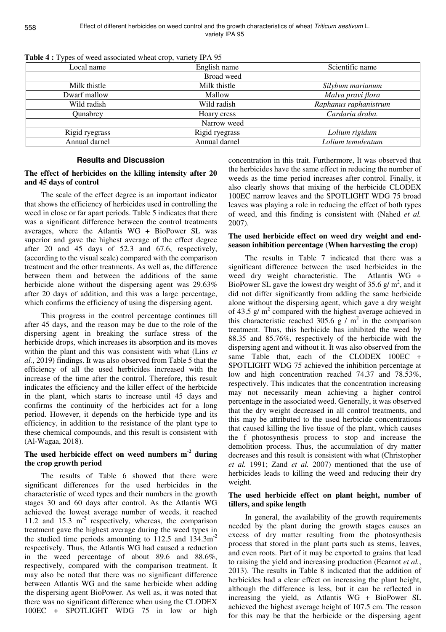| $\sim$ which is a proper through the contract of the contract $\sim$ . The contract of $\sim$<br>Local name | English name   | Scientific name       |
|-------------------------------------------------------------------------------------------------------------|----------------|-----------------------|
|                                                                                                             | Broad weed     |                       |
| Milk thistle                                                                                                | Milk thistle   | Silybum marianum      |
| Dwarf mallow                                                                                                | Mallow         | Malva pravi flora     |
| Wild radish                                                                                                 | Wild radish    | Raphanus raphanistrum |
| Qunabrey                                                                                                    | Hoary cress    | Cardaria draba.       |
|                                                                                                             | Narrow weed    |                       |
| Rigid ryegrass                                                                                              | Rigid ryegrass | Lolium rigidum        |
| Annual darnel                                                                                               | Annual darnel  | Lolium temulentum     |

**Table 4 :** Types of weed associated wheat crop, variety IPA 95

### **Results and Discussion**

### **The effect of herbicides on the killing intensity after 20 and 45 days of control**

The scale of the effect degree is an important indicator that shows the efficiency of herbicides used in controlling the weed in close or far apart periods. Table 5 indicates that there was a significant difference between the control treatments averages, where the Atlantis WG + BioPower SL was superior and gave the highest average of the effect degree after 20 and 45 days of 52.3 and 67.6, respectively, (according to the visual scale) compared with the comparison treatment and the other treatments. As well as, the difference between them and between the additions of the same herbicide alone without the dispersing agent was 29.63% after 20 days of addition, and this was a large percentage, which confirms the efficiency of using the dispersing agent.

This progress in the control percentage continues till after 45 days, and the reason may be due to the role of the dispersing agent in breaking the surface stress of the herbicide drops, which increases its absorption and its moves within the plant and this was consistent with what (Lins *et al.*, 2019) findings. It was also observed from Table 5 that the efficiency of all the used herbicides increased with the increase of the time after the control. Therefore, this result indicates the efficiency and the killer effect of the herbicide in the plant, which starts to increase until 45 days and confirms the continuity of the herbicides act for a long period. However, it depends on the herbicide type and its efficiency, in addition to the resistance of the plant type to these chemical compounds, and this result is consistent with (Al-Wagaa, 2018).

## **The used herbicide effect on weed numbers m-2 during the crop growth period**

The results of Table 6 showed that there were significant differences for the used herbicides in the characteristic of weed types and their numbers in the growth stages 30 and 60 days after control. As the Atlantis WG achieved the lowest average number of weeds, it reached 11.2 and 15.3  $m<sup>-2</sup>$  respectively, whereas, the comparison treatment gave the highest average during the weed types in the studied time periods amounting to  $112.5$  and  $134.3 \text{m}^{-2}$ respectively. Thus, the Atlantis WG had caused a reduction in the weed percentage of about 89.6 and 88.6%, respectively, compared with the comparison treatment. It may also be noted that there was no significant difference between Atlantis WG and the same herbicide when adding the dispersing agent BioPower. As well as, it was noted that there was no significant difference when using the CLODEX 100EC + SPOTLIGHT WDG 75 in low or high

concentration in this trait. Furthermore, It was observed that the herbicides have the same effect in reducing the number of weeds as the time period increases after control. Finally, it also clearly shows that mixing of the herbicide CLODEX 100EC narrow leaves and the SPOTLIGHT WDG 75 broad leaves was playing a role in reducing the effect of both types of weed, and this finding is consistent with (Nahed *et al.* 2007).

## **The used herbicide effect on weed dry weight and endseason inhibition percentage (When harvesting the crop)**

The results in Table 7 indicated that there was a significant difference between the used herbicides in the weed dry weight characteristic. The Atlantis WG + BioPower SL gave the lowest dry weight of 35.6  $g/m^2$ , and it did not differ significantly from adding the same herbicide alone without the dispersing agent, which gave a dry weight of 43.5  $g/m^2$  compared with the highest average achieved in this characteristic reached 305.6 g  $/m<sup>2</sup>$  in the comparison treatment. Thus, this herbicide has inhibited the weed by 88.35 and 85.76%, respectively of the herbicide with the dispersing agent and without it. It was also observed from the same Table that, each of the CLODEX 100EC + SPOTLIGHT WDG 75 achieved the inhibition percentage at low and high concentration reached 74.37 and 78.53%, respectively. This indicates that the concentration increasing may not necessarily mean achieving a higher control percentage in the associated weed. Generally, it was observed that the dry weight decreased in all control treatments, and this may be attributed to the used herbicide concentrations that caused killing the live tissue of the plant, which causes the f photosynthesis process to stop and increase the demolition process. Thus, the accumulation of dry matter decreases and this result is consistent with what (Christopher *et al.* 1991; Zand *et al.* 2007) mentioned that the use of herbicides leads to killing the weed and reducing their dry weight.

### **The used herbicide effect on plant height, number of tillers, and spike length**

In general, the availability of the growth requirements needed by the plant during the growth stages causes an excess of dry matter resulting from the photosynthesis process that stored in the plant parts such as stems, leaves, and even roots. Part of it may be exported to grains that lead to raising the yield and increasing production (Ecarnot *et al.*, 2013). The results in Table 8 indicated that the addition of herbicides had a clear effect on increasing the plant height, although the difference is less, but it can be reflected in increasing the yield, as Atlantis WG + BioPower SL achieved the highest average height of 107.5 cm. The reason for this may be that the herbicide or the dispersing agent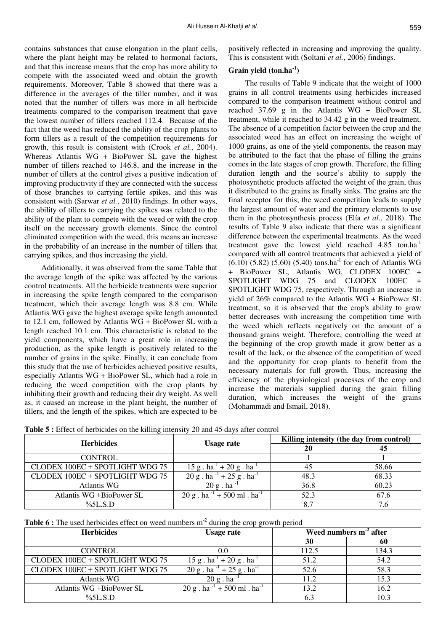contains substances that cause elongation in the plant cells, where the plant height may be related to hormonal factors, and that this increase means that the crop has more ability to compete with the associated weed and obtain the growth requirements. Moreover, Table 8 showed that there was a difference in the averages of the tiller number, and it was noted that the number of tillers was more in all herbicide treatments compared to the comparison treatment that gave the lowest number of tillers reached 112.4. Because of the fact that the weed has reduced the ability of the crop plants to form tillers as a result of the competition requirements for growth, this result is consistent with (Crook *et al.*, 2004). Whereas Atlantis WG + BioPower SL gave the highest number of tillers reached to 146.8, and the increase in the number of tillers at the control gives a positive indication of improving productivity if they are connected with the success of those branches to carrying fertile spikes, and this was consistent with (Sarwar *et al.*, 2010) findings. In other ways, the ability of tillers to carrying the spikes was related to the ability of the plant to compete with the weed or with the crop itself on the necessary growth elements. Since the control eliminated competition with the weed, this means an increase in the probability of an increase in the number of tillers that carrying spikes, and thus increasing the yield.

Additionally, it was observed from the same Table that the average length of the spike was affected by the various control treatments. All the herbicide treatments were superior in increasing the spike length compared to the comparison treatment, which their average length was 8.8 cm. While Atlantis WG gave the highest average spike length amounted to 12.1 cm, followed by Atlantis WG + BioPower SL with a length reached 10.1 cm. This characteristic is related to the yield components, which have a great role in increasing production, as the spike length is positively related to the number of grains in the spike. Finally, it can conclude from this study that the use of herbicides achieved positive results, especially Atlantis WG + BioPower SL, which had a role in reducing the weed competition with the crop plants by inhibiting their growth and reducing their dry weight. As well as, it caused an increase in the plant height, the number of tillers, and the length of the spikes, which are expected to be

positively reflected in increasing and improving the quality. This is consistent with (Soltani *et al.*, 2006) findings.

### **Grain yield (ton.ha-1)**

The results of Table 9 indicate that the weight of 1000 grains in all control treatments using herbicides increased compared to the comparison treatment without control and reached 37.69 g in the Atlantis WG + BioPower SL treatment, while it reached to 34.42 g in the weed treatment. The absence of a competition factor between the crop and the associated weed has an effect on increasing the weight of 1000 grains, as one of the yield components, the reason may be attributed to the fact that the phase of filling the grains comes in the late stages of crop growth. Therefore, the filling duration length and the source's ability to supply the photosynthetic products affected the weight of the grain, thus it distributed to the grains as finally sinks. The grains are the final receptor for this; the weed competition leads to supply the largest amount of water and the primary elements to use them in the photosynthesis process (Elía *et al.*, 2018). The results of Table 9 also indicate that there was a significant difference between the experimental treatments. As the weed treatment gave the lowest yield reached 4.85 ton.ha<sup>-1</sup> compared with all control treatments that achieved a yield of  $(6.10)$   $(5.82)$   $(5.60)$   $(5.40)$  tons.ha<sup>-1</sup> for each of Atlantis WG + BioPower SL, Atlantis WG, CLODEX 100EC + SPOTLIGHT WDG 75 and CLODEX 100EC + SPOTLIGHT WDG 75, respectively. Through an increase in yield of 26% compared to the Atlantis WG + BioPower SL treatment, so it is observed that the crop's ability to grow better decreases with increasing the competition time with the weed which reflects negatively on the amount of a thousand grains weight. Therefore, controlling the weed at the beginning of the crop growth made it grow better as a result of the lack, or the absence of the competition of weed and the opportunity for crop plants to benefit from the necessary materials for full growth. Thus, increasing the efficiency of the physiological processes of the crop and increase the materials supplied during the grain filling duration, which increases the weight of the grains (Mohammadi and Ismail, 2018).

| <b>Herbicides</b>               | <b>Usage rate</b>                                    | Killing intensity (the day from control) |       |  |  |
|---------------------------------|------------------------------------------------------|------------------------------------------|-------|--|--|
|                                 |                                                      | 20                                       |       |  |  |
| <b>CONTROL</b>                  |                                                      |                                          |       |  |  |
| CLODEX 100EC + SPOTLIGHT WDG 75 | $15 g$ . ha <sup>-1</sup> + 20 g. ha <sup>-1</sup>   | 45                                       | 58.66 |  |  |
| CLODEX 100EC + SPOTLIGHT WDG 75 | $20 g$ . ha <sup>-1</sup> + 25 g. ha <sup>-1</sup>   | 48.3                                     | 68.33 |  |  |
| Atlantis WG                     | $20 g$ . ha                                          | 36.8                                     | 60.23 |  |  |
| Atlantis WG +BioPower SL        | $20 g$ . ha <sup>-1</sup> + 500 ml. ha <sup>-1</sup> | 52.3                                     | 67.6  |  |  |
| $\%5L.S.D$                      |                                                      | 8.7                                      | 7.6   |  |  |

| <b>Table 6 :</b> The used herbicides effect on weed numbers $m2$ during the crop growth period |  |
|------------------------------------------------------------------------------------------------|--|
|------------------------------------------------------------------------------------------------|--|

| <b>Herbicides</b>               | Usage rate                                           |       | Weed numbers $m2$ after |
|---------------------------------|------------------------------------------------------|-------|-------------------------|
|                                 |                                                      | 30    | 60                      |
| <b>CONTROL</b>                  |                                                      | 112.5 | 134.3                   |
| CLODEX 100EC + SPOTLIGHT WDG 75 | $15 g$ . ha <sup>-1</sup> + 20 g. ha <sup>-1</sup>   | 51.2  | 54.2                    |
| CLODEX 100EC + SPOTLIGHT WDG 75 | $20 g$ . ha <sup>-1</sup> + 25 g. ha <sup>-1</sup>   | 52.6  | 58.3                    |
| <b>Atlantis WG</b>              | $20 \text{ g}$ . ha                                  | 11.2  | 15.3                    |
| Atlantis WG +BioPower SL        | $20 g$ . ha <sup>-1</sup> + 500 ml. ha <sup>-1</sup> | 13.2  | 16.2                    |
| $\%5L.S.D$                      |                                                      |       | 10.3                    |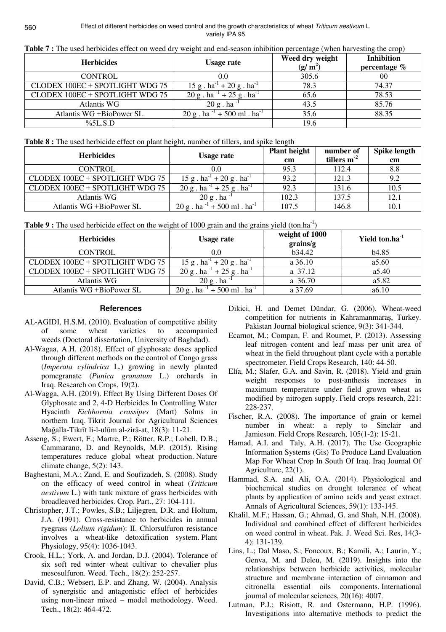| Table 7 : The used herbicides effect on weed dry weight and end-season inhibition percentage (when harvesting the crop) |  |
|-------------------------------------------------------------------------------------------------------------------------|--|
|-------------------------------------------------------------------------------------------------------------------------|--|

| <b>Herbicides</b>               | <b>Usage rate</b>                                   | Weed dry weight<br>$(g/m^2)$ | <b>Inhibition</b><br>percentage $%$ |  |
|---------------------------------|-----------------------------------------------------|------------------------------|-------------------------------------|--|
| <b>CONTROL</b>                  |                                                     | 305.6                        | 00                                  |  |
| CLODEX 100EC + SPOTLIGHT WDG 75 | $15 g$ . ha <sup>-1</sup> + 20 g. ha <sup>-1</sup>  | 78.3                         | 74.37                               |  |
| CLODEX 100EC + SPOTLIGHT WDG 75 | $20 g$ . ha <sup>-1</sup> + 25 g. ha <sup>-1</sup>  | 65.6                         | 78.53                               |  |
| Atlantis WG                     | $20 g$ . ha                                         | 43.5                         | 85.76                               |  |
| Atlantis WG +BioPower SL        | $+500$ ml . ha <sup>-1</sup><br>$20 \text{ g}$ . ha | 35.6                         | 88.35                               |  |
| $\%5L.S.D$                      |                                                     | 19.6                         |                                     |  |

**Table 8 :** The used herbicide effect on plant height, number of tillers, and spike length

| <b>Herbicides</b>               | Usage rate                                          | <b>Plant height</b> | number of     | Spike length |
|---------------------------------|-----------------------------------------------------|---------------------|---------------|--------------|
|                                 |                                                     | cm                  | tillers $m-2$ | cm           |
| <b>CONTROL</b>                  | 0.0                                                 | 95.3                | 112.4         | 8.8          |
| CLODEX 100EC + SPOTLIGHT WDG 75 | $15 g$ . ha <sup>-1</sup> + 20 g. ha <sup>-1</sup>  | 93.2                | 121.3         | 9.2          |
| CLODEX 100EC + SPOTLIGHT WDG 75 | $20 g$ . ha <sup>-1</sup> + 25 g. ha <sup>-1</sup>  | 92.3                | 131.6         | 10.5         |
| Atlantis WG                     | $20 g$ . ha <sup>-1</sup>                           | 102.3               | 137.5         | 12.1         |
| Atlantis WG +BioPower SL        | $+500$ ml . ha <sup>-1</sup><br>$20 \text{ g}$ . ha | 107.5               | 146.8         | 10.1         |

| <b>Table 9 :</b> The used herbicide effect on the weight of 1000 grain and the grains yield (ton.ha <sup>-1</sup> ) |  |  |  |  |  |  |
|---------------------------------------------------------------------------------------------------------------------|--|--|--|--|--|--|
|                                                                                                                     |  |  |  |  |  |  |

| <b>Herbicides</b>               | <b>Usage rate</b>                                    | weight of 1000<br>grains/g | Yield ton.ha <sup>-1</sup> |
|---------------------------------|------------------------------------------------------|----------------------------|----------------------------|
| <b>CONTROL</b>                  | $0.0\,$                                              | b34.42                     | b <sub>4.85</sub>          |
| CLODEX 100EC + SPOTLIGHT WDG 75 | $15 g$ . ha <sup>-1</sup> + 20 g. ha <sup>-1</sup>   | $a\,36.10$                 | a5.60                      |
| CLODEX 100EC + SPOTLIGHT WDG 75 | $+25$ g . ha <sup>-1</sup><br>$20 \text{ g}$ . ha    | a 37.12                    | a5.40                      |
| Atlantis WG                     | $20 g$ . ha <sup>-1</sup>                            | a 36.70                    | a5.82                      |
| Atlantis WG +BioPower SL        | $20 g$ . ha <sup>-1</sup> + 500 ml. ha <sup>-1</sup> | a 37.69                    | a6.10                      |

# **References**

- AL-AGIDI, H.S.M. (2010). Evaluation of competitive ability of some wheat varieties to accompanied weeds (Doctoral dissertation, University of Baghdad).
- Al-Wagaa, A.H. (2018). Effect of glyphosate doses applied through different methods on the control of Congo grass (*Imperata cylindrica* L.) growing in newly planted pomegranate (*Punica granatum* L.) orchards in Iraq. Research on Crops, 19(2).
- Al-Wagga, A.H. (2019). Effect By Using Different Doses Of Glyphosate and 2, 4-D Herbicides In Controlling Water Hyacinth *Eichhornia crassipes* (Mart) Solms in northern Iraq. Tikrit Journal for Agricultural Sciences Mağalla-Tikrīt li-l-ulūm al-zirā-at, 18(3): 11-21.
- Asseng, S.; Ewert, F.; Martre, P.; Rötter, R.P.; Lobell, D.B.; Cammarano, D. and Reynolds, M.P. (2015). Rising temperatures reduce global wheat production. Nature climate change, 5(2): 143.
- Baghestani, M.A.; Zand, E. and Soufizadeh, S. (2008). Study on the efficacy of weed control in wheat (*Triticum aestivum* L.) with tank mixture of grass herbicides with broadleaved herbicides. Crop. Part., 27: 104-111.
- Christopher, J.T.; Powles, S.B.; Liljegren, D.R. and Holtum, J.A. (1991). Cross-resistance to herbicides in annual ryegrass (*Lolium rigidum*): II. Chlorsulfuron resistance involves a wheat-like detoxification system. Plant Physiology, 95(4): 1036-1043.
- Crook, H.L.; York, A. and Jordan, D.J. (2004). Tolerance of six soft red winter wheat cultivar to chevalier plus mesosulfuron. Weed. Tech., 18(2): 252-257.
- David, C.B.; Websert, E.P. and Zhang, W. (2004). Analysis of synergistic and antagonistic effect of herbicides using non-linear mixed – model methodology. Weed. Tech., 18(2): 464-472.
- Dikici, H. and Demet Dündar, G. (2006). Wheat-weed competition for nutrients in Kahramanmaraş, Turkey. Pakistan Journal biological science, 9(3): 341-344.
- Ecarnot, M.; Compan, F. and Roumet, P. (2013). Assessing leaf nitrogen content and leaf mass per unit area of wheat in the field throughout plant cycle with a portable spectrometer. Field Crops Research, 140: 44-50.
- Elía, M.; Slafer, G.A. and Savin, R. (2018). Yield and grain weight responses to post-anthesis increases in maximum temperature under field grown wheat as modified by nitrogen supply. Field crops research, 221: 228-237.
- Fischer, R.A. (2008). The importance of grain or kernel number in wheat: a reply to Sinclair and Jamieson. Field Crops Research, 105(1-2): 15-21.
- Hamad, A.I. and Taly, A.H. (2017). The Use Geographic Information Systems (Gis) To Produce Land Evaluation Map For Wheat Crop In South Of Iraq. Iraq Journal Of Agriculture, 22(1).
- Hammad, S.A. and Ali, O.A. (2014). Physiological and biochemical studies on drought tolerance of wheat plants by application of amino acids and yeast extract. Annals of Agricultural Sciences, 59(1): 133-145.
- Khalil, M.F.; Hassan, G.; Ahmad, G. and Shah, N.H. (2008). Individual and combined effect of different herbicides on weed control in wheat. Pak. J. Weed Sci. Res, 14(3- 4): 131-139.
- Lins, L.; Dal Maso, S.; Foncoux, B.; Kamili, A.; Laurin, Y.; Genva, M. and Deleu, M. (2019). Insights into the relationships between herbicide activities, molecular structure and membrane interaction of cinnamon and citronella essential oils components. International journal of molecular sciences, 20(16): 4007.
- Lutman, P.J.; Risiott, R. and Ostermann, H.P. (1996). Investigations into alternative methods to predict the